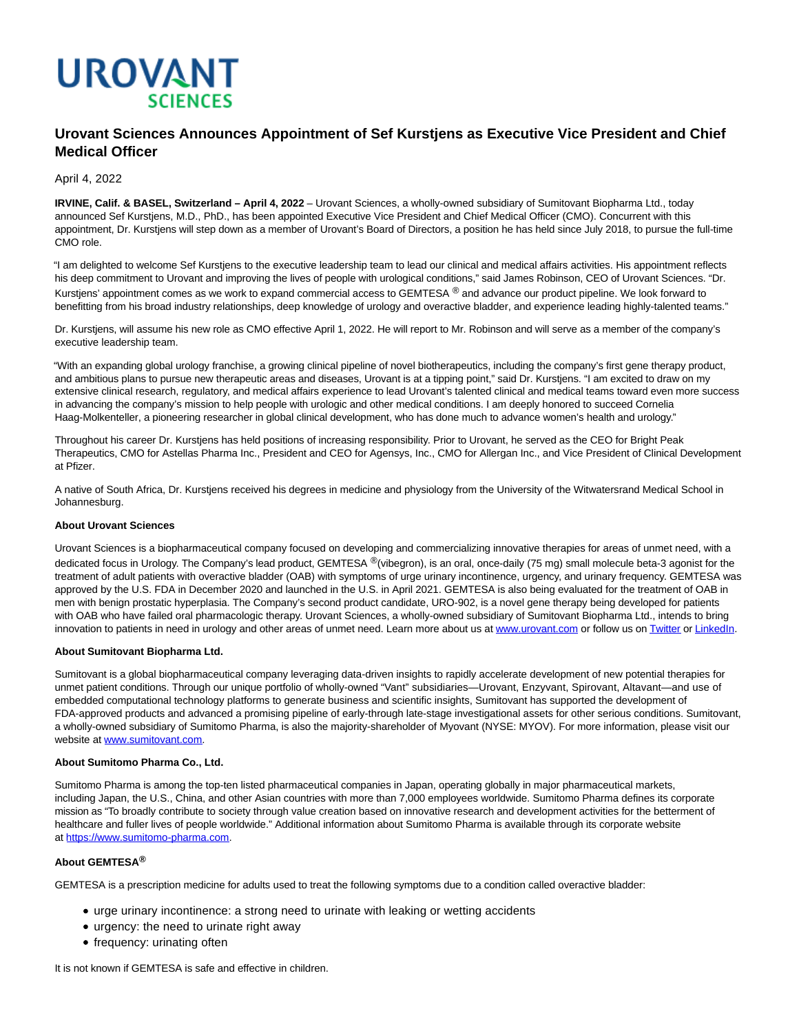

# **Urovant Sciences Announces Appointment of Sef Kurstjens as Executive Vice President and Chief Medical Officer**

# April 4, 2022

**IRVINE, Calif. & BASEL, Switzerland – April 4, 2022** – Urovant Sciences, a wholly-owned subsidiary of Sumitovant Biopharma Ltd., today announced Sef Kurstjens, M.D., PhD., has been appointed Executive Vice President and Chief Medical Officer (CMO). Concurrent with this appointment, Dr. Kurstjens will step down as a member of Urovant's Board of Directors, a position he has held since July 2018, to pursue the full-time CMO role.

"I am delighted to welcome Sef Kurstjens to the executive leadership team to lead our clinical and medical affairs activities. His appointment reflects his deep commitment to Urovant and improving the lives of people with urological conditions," said James Robinson, CEO of Urovant Sciences. "Dr. Kurstjens' appointment comes as we work to expand commercial access to GEMTESA ® and advance our product pipeline. We look forward to benefitting from his broad industry relationships, deep knowledge of urology and overactive bladder, and experience leading highly-talented teams."

Dr. Kurstjens, will assume his new role as CMO effective April 1, 2022. He will report to Mr. Robinson and will serve as a member of the company's executive leadership team.

"With an expanding global urology franchise, a growing clinical pipeline of novel biotherapeutics, including the company's first gene therapy product, and ambitious plans to pursue new therapeutic areas and diseases, Urovant is at a tipping point," said Dr. Kurstjens. "I am excited to draw on my extensive clinical research, regulatory, and medical affairs experience to lead Urovant's talented clinical and medical teams toward even more success in advancing the company's mission to help people with urologic and other medical conditions. I am deeply honored to succeed Cornelia Haag-Molkenteller, a pioneering researcher in global clinical development, who has done much to advance women's health and urology."

Throughout his career Dr. Kurstjens has held positions of increasing responsibility. Prior to Urovant, he served as the CEO for Bright Peak Therapeutics, CMO for Astellas Pharma Inc., President and CEO for Agensys, Inc., CMO for Allergan Inc., and Vice President of Clinical Development at Pfizer.

A native of South Africa, Dr. Kurstjens received his degrees in medicine and physiology from the University of the Witwatersrand Medical School in Johannesburg.

# **About Urovant Sciences**

Urovant Sciences is a biopharmaceutical company focused on developing and commercializing innovative therapies for areas of unmet need, with a dedicated focus in Urology. The Company's lead product, GEMTESA ®(vibegron), is an oral, once-daily (75 mg) small molecule beta-3 agonist for the treatment of adult patients with overactive bladder (OAB) with symptoms of urge urinary incontinence, urgency, and urinary frequency. GEMTESA was approved by the U.S. FDA in December 2020 and launched in the U.S. in April 2021. GEMTESA is also being evaluated for the treatment of OAB in men with benign prostatic hyperplasia. The Company's second product candidate, URO-902, is a novel gene therapy being developed for patients with OAB who have failed oral pharmacologic therapy. Urovant Sciences, a wholly-owned subsidiary of Sumitovant Biopharma Ltd., intends to bring innovation to patients in need in urology and other areas of unmet need. Learn more about us a[t www.urovant.com o](https://cts.businesswire.com/ct/CT?id=smartlink&url=http%3A%2F%2Fwww.urovant.com%2F&esheet=52553625&newsitemid=20211220005599&lan=en-US&anchor=www.urovant.com&index=3&md5=72fb79bdba90da015c3ca3b21a04cd06)r follow us o[n Twitter o](https://twitter.com/urovant)r [LinkedIn.](https://www.linkedin.com/company/urovant-sciences-inc/)

### **About Sumitovant Biopharma Ltd.**

Sumitovant is a global biopharmaceutical company leveraging data-driven insights to rapidly accelerate development of new potential therapies for unmet patient conditions. Through our unique portfolio of wholly-owned "Vant" subsidiaries—Urovant, Enzyvant, Spirovant, Altavant—and use of embedded computational technology platforms to generate business and scientific insights, Sumitovant has supported the development of FDA-approved products and advanced a promising pipeline of early-through late-stage investigational assets for other serious conditions. Sumitovant, a wholly-owned subsidiary of Sumitomo Pharma, is also the majority-shareholder of Myovant (NYSE: MYOV). For more information, please visit our website at [www.sumitovant.com.](https://cts.businesswire.com/ct/CT?id=smartlink&url=https%3A%2F%2Fprotect-us.mimecast.com%2Fs%2FkrbECrkNkASm6qGIzpiwp%3Fdomain%3Dsumitovant.com&esheet=52553625&newsitemid=20211220005599&lan=en-US&anchor=www.sumitovant.com&index=4&md5=3c4cf85ce7062ba91d01b21e003147a7)

### **About Sumitomo Pharma Co., Ltd.**

Sumitomo Pharma is among the top-ten listed pharmaceutical companies in Japan, operating globally in major pharmaceutical markets, including Japan, the U.S., China, and other Asian countries with more than 7,000 employees worldwide. Sumitomo Pharma defines its corporate mission as "To broadly contribute to society through value creation based on innovative research and development activities for the betterment of healthcare and fuller lives of people worldwide." Additional information about Sumitomo Pharma is available through its corporate website at [https://www.sumitomo-pharma.com.](https://www.sumitomo-pharma.com/)

# **About GEMTESA®**

GEMTESA is a prescription medicine for adults used to treat the following symptoms due to a condition called overactive bladder:

- urge urinary incontinence: a strong need to urinate with leaking or wetting accidents
- urgency: the need to urinate right away
- frequency: urinating often

It is not known if GEMTESA is safe and effective in children.